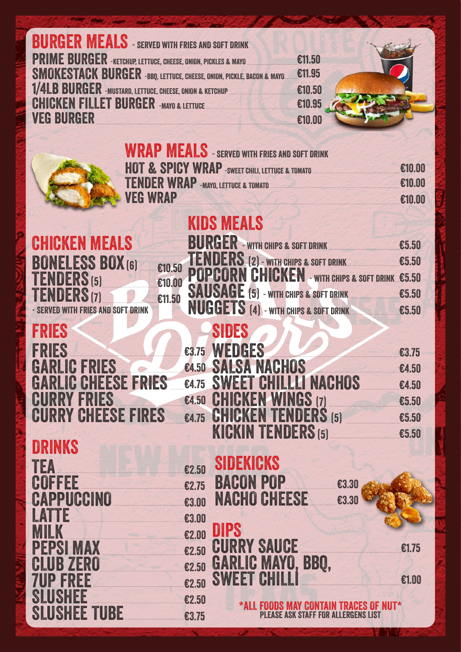| <b>BURGER MEALS</b> - SERVED WITH FRIES AND SOFT DRINK               |       |                   |                                           |        |                                                            |        |
|----------------------------------------------------------------------|-------|-------------------|-------------------------------------------|--------|------------------------------------------------------------|--------|
| <b>PRIME BURGER</b> -KETCHUP, LETTUCE, CHEESE, ONION, PICKLES & MAYO |       |                   |                                           | €11.50 |                                                            |        |
| MOKESTACK BURGER -BBQ, LETTUCE, CHEESE, ONION, PICKLE, BACON & MAYO  |       |                   |                                           | €11.95 |                                                            |        |
| 1/4LB BURGER - MUSTARD, LETTUCE, CHEESE, ONION & KETCHUP             |       |                   |                                           | €10.50 |                                                            |        |
| CHICKEN FILLET BURGER -MAYO & LETTUCE                                |       |                   |                                           | €10.95 |                                                            |        |
| <b>VEG BURGER</b>                                                    |       |                   |                                           | €10.00 |                                                            |        |
|                                                                      |       |                   |                                           |        |                                                            |        |
| <b>WRAP MEALS</b> - SERVED WITH FRIES AND SOFT DRINK                 |       |                   |                                           |        |                                                            |        |
|                                                                      |       |                   |                                           |        | HOT & SPICY WRAP -SWEET CHILI, LETTUCE & TOMATO            |        |
| <b>VEG WRAP</b>                                                      |       |                   |                                           |        | TENDER WRAP - MAYO, LETTUCE & TOMATO                       |        |
|                                                                      |       |                   |                                           |        |                                                            | €10.00 |
|                                                                      |       | <b>KIDS MEALS</b> |                                           |        |                                                            |        |
| <b>CHICKEN MEALS</b>                                                 |       | BURGER            |                                           |        | - WITH CHIPS & SOFT DRINK<br>E5.50                         |        |
| <b>BONELESS BOX (6)</b>                                              |       |                   |                                           |        | TENDERS (2) - WITH CHIPS & SOFT DRINK E5.50                |        |
| $\epsilon$ 10.50<br>TENDERS(5)<br>€10.00                             |       |                   |                                           |        | <b>POPCORN CHICKEN - WITH CHIPS &amp; SOFT DRINK €5.50</b> |        |
| <b>TENDERS (7)</b><br>€11.50                                         |       |                   |                                           |        | <b>SAUSAGE</b> (5) - WITH CHIPS & SOFT DRINK <b>E5.50</b>  |        |
| <b>FRIES AND SOFT DRINK</b>                                          |       |                   |                                           |        | <b>NUGGETS</b> (4) - WITH CHIPS & SOFT DRINK 65.50         |        |
| FRIES                                                                |       | SIDES             |                                           |        |                                                            |        |
|                                                                      |       |                   |                                           |        |                                                            |        |
| FRIES                                                                |       | E3.75 WEDGES      |                                           |        |                                                            | €3.75  |
| GARLI                                                                |       |                   | <b>E4.50 SALSA NACHOS</b>                 |        | The Committee of the Committee of the Committee            | €4.50  |
| <b>GARLIC CHEESE FRIES</b><br><b>FRIES</b>                           | €4.75 |                   | <b>SWEET CHILLLI NACHOS</b>               |        |                                                            | €4.50  |
| CURRY<br><b>CURRY CHEESE FIRES</b>                                   |       |                   | €4.50 CHICKEN WINGS (7)                   |        |                                                            | €5.50  |
|                                                                      | €4.75 |                   | <b>KICKIN TENDERS (5)</b>                 |        | <b>CHICKEN TENDERS</b> $(5)$ $\epsilon$ 5.50               |        |
| DRINKS                                                               |       |                   |                                           |        |                                                            | €5.50  |
|                                                                      |       | SIDEKICKS         |                                           |        |                                                            |        |
| TEA                                                                  | €2.50 |                   |                                           |        |                                                            |        |
| $CO$ FFEE $\varepsilon$ 2.75                                         |       |                   | <b>BACON POP</b>                          |        | €3.30                                                      |        |
| <b>CAPPUCCINO</b><br>$\overline{\text{23.00}}$                       |       |                   | <b>NACHO CHEESE</b>                       |        | €3.30                                                      |        |
| LATTE<br>$\epsilon$ 3.00                                             |       |                   |                                           |        |                                                            |        |
| MILK<br>$\epsilon$ 2.00                                              |       | DIPS              | <b>CURRY SAUCE</b>                        |        |                                                            |        |
| <b>PEPSI MAX</b><br>$\epsilon$ 2.50                                  |       |                   |                                           |        |                                                            | £1.75  |
| <b>CLUB ZERO</b><br>$\epsilon$ 2.50                                  |       |                   | <b>GARLIC MAYO, BBQ,<br/>SWEET CHILLI</b> |        |                                                            |        |
| <b>7UP FREE</b><br>$\epsilon$ 2.50                                   |       |                   |                                           |        |                                                            | €1.00  |
| SLUSHEE<br>$\epsilon$ 2.50                                           |       |                   |                                           |        | *ALL FOODS MAY CONTAIN TRACES OF NUT*                      |        |
| <b>SLUSHEE TUBE</b> 63.75                                            |       |                   |                                           |        | <b>PLEASE ASK STAFF FOR ALLERGENS LIST</b>                 |        |